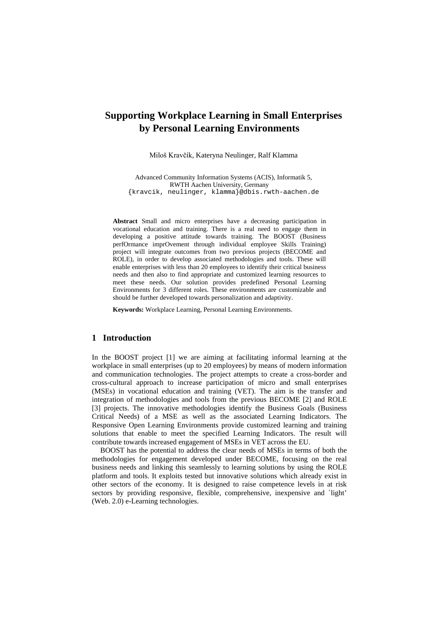# **Supporting Workplace Learning in Small Enterprises by Personal Learning Environments**

Miloš Kravčík, Kateryna Neulinger, Ralf Klamma

Advanced Community Information Systems (ACIS), Informatik 5, RWTH Aachen University, Germany {kravcik, neulinger, klamma}@dbis.rwth-aachen.de

**Abstract** Small and micro enterprises have a decreasing participation in vocational education and training. There is a real need to engage them in developing a positive attitude towards training. The BOOST (Business perfOrmance imprOvement through individual employee Skills Training) project will integrate outcomes from two previous projects (BECOME and ROLE), in order to develop associated methodologies and tools. These will enable enterprises with less than 20 employees to identify their critical business needs and then also to find appropriate and customized learning resources to meet these needs. Our solution provides predefined Personal Learning Environments for 3 different roles. These environments are customizable and should be further developed towards personalization and adaptivity.

**Keywords:** Workplace Learning, Personal Learning Environments.

# **1 Introduction**

In the BOOST project [1] we are aiming at facilitating informal learning at the workplace in small enterprises (up to 20 employees) by means of modern information and communication technologies. The project attempts to create a cross-border and cross-cultural approach to increase participation of micro and small enterprises (MSEs) in vocational education and training (VET). The aim is the transfer and integration of methodologies and tools from the previous BECOME [2] and ROLE [3] projects. The innovative methodologies identify the Business Goals (Business Critical Needs) of a MSE as well as the associated Learning Indicators. The Responsive Open Learning Environments provide customized learning and training solutions that enable to meet the specified Learning Indicators. The result will contribute towards increased engagement of MSEs in VET across the EU.

BOOST has the potential to address the clear needs of MSEs in terms of both the methodologies for engagement developed under BECOME, focusing on the real business needs and linking this seamlessly to learning solutions by using the ROLE platform and tools. It exploits tested but innovative solutions which already exist in other sectors of the economy. It is designed to raise competence levels in at risk sectors by providing responsive, flexible, comprehensive, inexpensive and `light' (Web. 2.0) e-Learning technologies.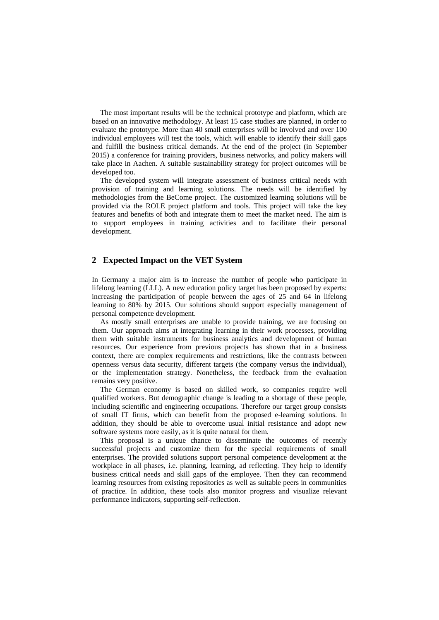The most important results will be the technical prototype and platform, which are based on an innovative methodology. At least 15 case studies are planned, in order to evaluate the prototype. More than 40 small enterprises will be involved and over 100 individual employees will test the tools, which will enable to identify their skill gaps and fulfill the business critical demands. At the end of the project (in September 2015) a conference for training providers, business networks, and policy makers will take place in Aachen. A suitable sustainability strategy for project outcomes will be developed too.

The developed system will integrate assessment of business critical needs with provision of training and learning solutions. The needs will be identified by methodologies from the BeCome project. The customized learning solutions will be provided via the ROLE project platform and tools. This project will take the key features and benefits of both and integrate them to meet the market need. The aim is to support employees in training activities and to facilitate their personal development.

#### **2 Expected Impact on the VET System**

In Germany a major aim is to increase the number of people who participate in lifelong learning (LLL). A new education policy target has been proposed by experts: increasing the participation of people between the ages of 25 and 64 in lifelong learning to 80% by 2015. Our solutions should support especially management of personal competence development.

As mostly small enterprises are unable to provide training, we are focusing on them. Our approach aims at integrating learning in their work processes, providing them with suitable instruments for business analytics and development of human resources. Our experience from previous projects has shown that in a business context, there are complex requirements and restrictions, like the contrasts between openness versus data security, different targets (the company versus the individual), or the implementation strategy. Nonetheless, the feedback from the evaluation remains very positive.

The German economy is based on skilled work, so companies require well qualified workers. But demographic change is leading to a shortage of these people, including scientific and engineering occupations. Therefore our target group consists of small IT firms, which can benefit from the proposed e-learning solutions. In addition, they should be able to overcome usual initial resistance and adopt new software systems more easily, as it is quite natural for them.

This proposal is a unique chance to disseminate the outcomes of recently successful projects and customize them for the special requirements of small enterprises. The provided solutions support personal competence development at the workplace in all phases, i.e. planning, learning, ad reflecting. They help to identify business critical needs and skill gaps of the employee. Then they can recommend learning resources from existing repositories as well as suitable peers in communities of practice. In addition, these tools also monitor progress and visualize relevant performance indicators, supporting self-reflection.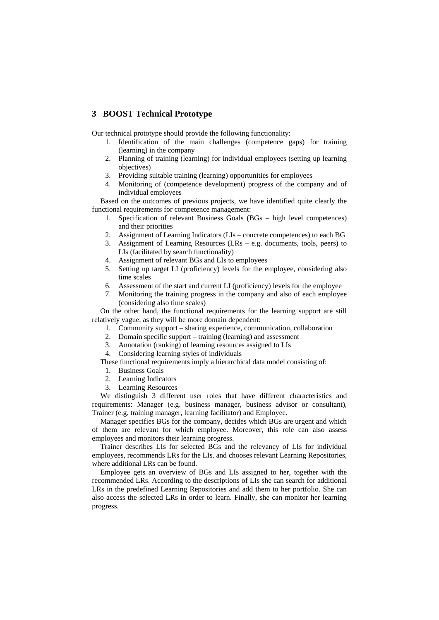# **3 BOOST Technical Prototype**

Our technical prototype should provide the following functionality:

- 1. Identification of the main challenges (competence gaps) for training (learning) in the company
- 2. Planning of training (learning) for individual employees (setting up learning objectives)
- 3. Providing suitable training (learning) opportunities for employees
- 4. Monitoring of (competence development) progress of the company and of individual employees

Based on the outcomes of previous projects, we have identified quite clearly the functional requirements for competence management:

- 1. Specification of relevant Business Goals (BGs high level competences) and their priorities
- 2. Assignment of Learning Indicators (LIs concrete competences) to each BG
- 3. Assignment of Learning Resources (LRs e.g. documents, tools, peers) to LIs (facilitated by search functionality)
- 4. Assignment of relevant BGs and LIs to employees
- 5. Setting up target LI (proficiency) levels for the employee, considering also time scales
- 6. Assessment of the start and current LI (proficiency) levels for the employee
- 7. Monitoring the training progress in the company and also of each employee (considering also time scales)

On the other hand, the functional requirements for the learning support are still relatively vague, as they will be more domain dependent:

- 1. Community support sharing experience, communication, collaboration
- 2. Domain specific support training (learning) and assessment
- 3. Annotation (ranking) of learning resources assigned to LIs
- 4. Considering learning styles of individuals

These functional requirements imply a hierarchical data model consisting of:

- 1. Business Goals
- 2. Learning Indicators
- 3. Learning Resources

We distinguish 3 different user roles that have different characteristics and requirements: Manager (e.g. business manager, business advisor or consultant), Trainer (e.g. training manager, learning facilitator) and Employee.

Manager specifies BGs for the company, decides which BGs are urgent and which of them are relevant for which employee. Moreover, this role can also assess employees and monitors their learning progress.

Trainer describes LIs for selected BGs and the relevancy of LIs for individual employees, recommends LRs for the LIs, and chooses relevant Learning Repositories, where additional LRs can be found.

Employee gets an overview of BGs and LIs assigned to her, together with the recommended LRs. According to the descriptions of LIs she can search for additional LRs in the predefined Learning Repositories and add them to her portfolio. She can also access the selected LRs in order to learn. Finally, she can monitor her learning progress.